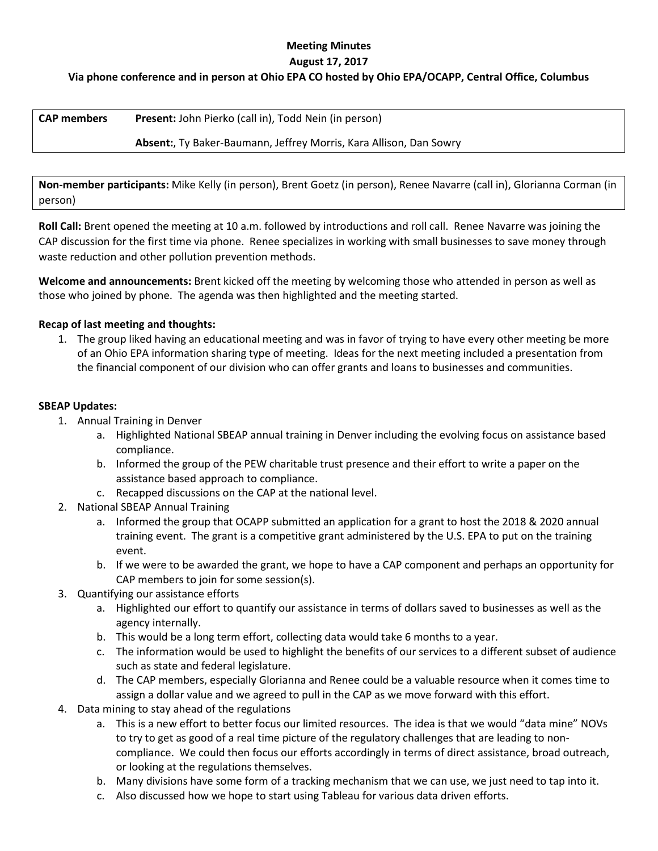## **Meeting Minutes August 17, 2017**

# **Via phone conference and in person at Ohio EPA CO hosted by Ohio EPA/OCAPP, Central Office, Columbus**

| <b>CAP members</b> | <b>Present:</b> John Pierko (call in), Todd Nein (in person)              |
|--------------------|---------------------------------------------------------------------------|
|                    | <b>Absent:, Ty Baker-Baumann, Jeffrey Morris, Kara Allison, Dan Sowry</b> |

**Non-member participants:** Mike Kelly (in person), Brent Goetz (in person), Renee Navarre (call in), Glorianna Corman (in person)

**Roll Call:** Brent opened the meeting at 10 a.m. followed by introductions and roll call. Renee Navarre was joining the CAP discussion for the first time via phone. Renee specializes in working with small businesses to save money through waste reduction and other pollution prevention methods.

**Welcome and announcements:** Brent kicked off the meeting by welcoming those who attended in person as well as those who joined by phone. The agenda was then highlighted and the meeting started.

### **Recap of last meeting and thoughts:**

1. The group liked having an educational meeting and was in favor of trying to have every other meeting be more of an Ohio EPA information sharing type of meeting. Ideas for the next meeting included a presentation from the financial component of our division who can offer grants and loans to businesses and communities.

### **SBEAP Updates:**

- 1. Annual Training in Denver
	- a. Highlighted National SBEAP annual training in Denver including the evolving focus on assistance based compliance.
	- b. Informed the group of the PEW charitable trust presence and their effort to write a paper on the assistance based approach to compliance.
	- c. Recapped discussions on the CAP at the national level.
- 2. National SBEAP Annual Training
	- a. Informed the group that OCAPP submitted an application for a grant to host the 2018 & 2020 annual training event. The grant is a competitive grant administered by the U.S. EPA to put on the training event.
	- b. If we were to be awarded the grant, we hope to have a CAP component and perhaps an opportunity for CAP members to join for some session(s).
- 3. Quantifying our assistance efforts
	- a. Highlighted our effort to quantify our assistance in terms of dollars saved to businesses as well as the agency internally.
	- b. This would be a long term effort, collecting data would take 6 months to a year.
	- c. The information would be used to highlight the benefits of our services to a different subset of audience such as state and federal legislature.
	- d. The CAP members, especially Glorianna and Renee could be a valuable resource when it comes time to assign a dollar value and we agreed to pull in the CAP as we move forward with this effort.
- 4. Data mining to stay ahead of the regulations
	- a. This is a new effort to better focus our limited resources. The idea is that we would "data mine" NOVs to try to get as good of a real time picture of the regulatory challenges that are leading to noncompliance. We could then focus our efforts accordingly in terms of direct assistance, broad outreach, or looking at the regulations themselves.
	- b. Many divisions have some form of a tracking mechanism that we can use, we just need to tap into it.
	- c. Also discussed how we hope to start using Tableau for various data driven efforts.